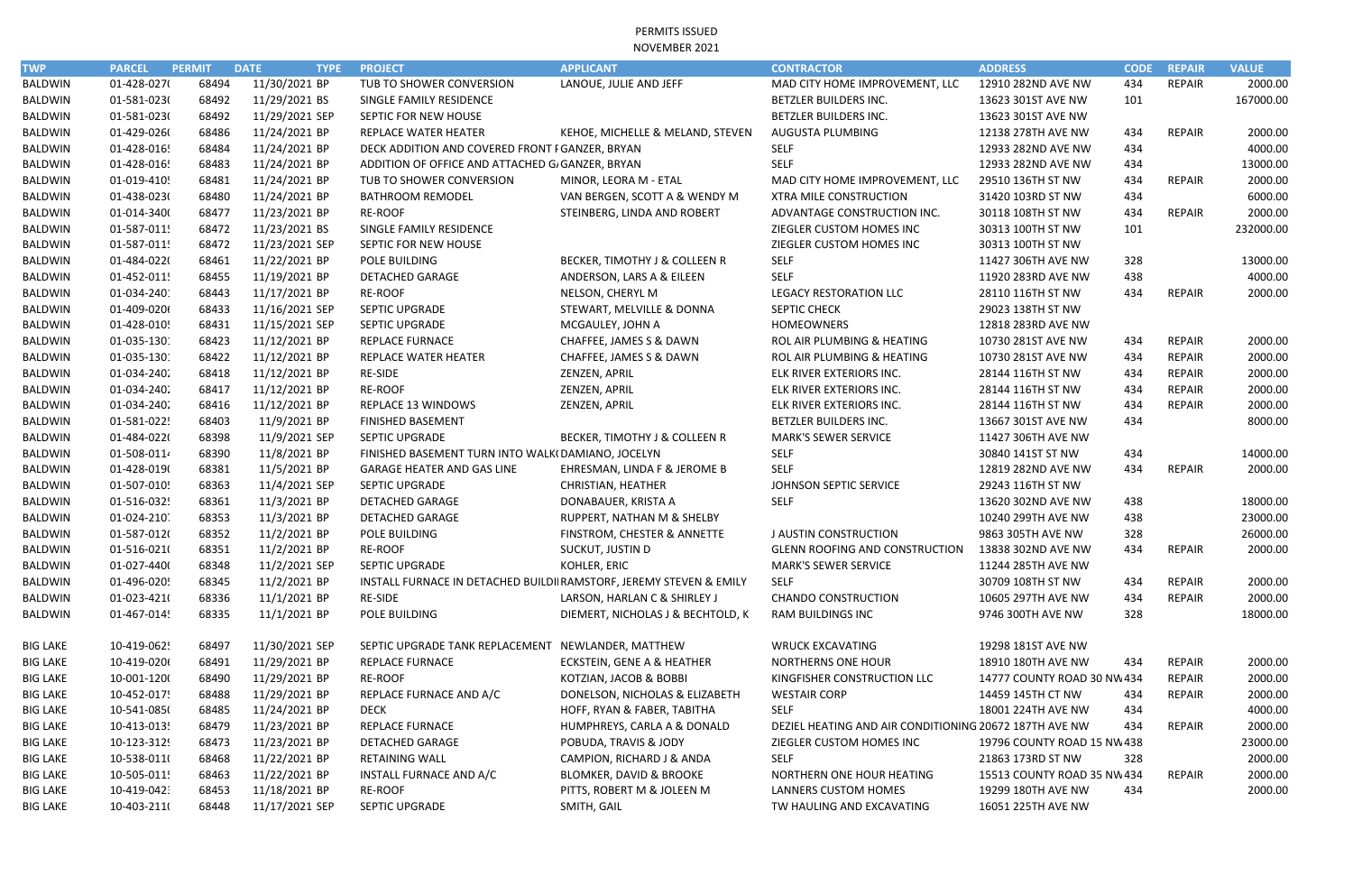PERMITS ISSUED NOVEMBER 2021

| <b>TWP</b>      | <b>PARCEL</b> | <b>PERMIT</b> | <b>DATE</b><br><b>TYPE</b> | <b>PROJECT</b>                                                      | <b>APPLICANT</b>                  | <b>CONTRACTOR</b>                                      | <b>ADDRESS</b>              | <b>CODE</b> | <b>REPAIR</b> | <b>VALUE</b> |
|-----------------|---------------|---------------|----------------------------|---------------------------------------------------------------------|-----------------------------------|--------------------------------------------------------|-----------------------------|-------------|---------------|--------------|
| BALDWIN         | 01-428-027(   | 68494         | 11/30/2021 BP              | TUB TO SHOWER CONVERSION                                            | LANOUE, JULIE AND JEFF            | MAD CITY HOME IMPROVEMENT, LLC                         | 12910 282ND AVE NW          | 434         | <b>REPAIR</b> | 2000.00      |
| <b>BALDWIN</b>  | 01-581-0230   | 68492         | 11/29/2021 BS              | SINGLE FAMILY RESIDENCE                                             |                                   | BETZLER BUILDERS INC.                                  | 13623 301ST AVE NW          | 101         |               | 167000.00    |
| <b>BALDWIN</b>  | 01-581-0230   | 68492         | 11/29/2021 SEP             | SEPTIC FOR NEW HOUSE                                                |                                   | BETZLER BUILDERS INC.                                  | 13623 301ST AVE NW          |             |               |              |
| <b>BALDWIN</b>  | 01-429-0260   | 68486         | 11/24/2021 BP              | <b>REPLACE WATER HEATER</b>                                         | KEHOE, MICHELLE & MELAND, STEVEN  | AUGUSTA PLUMBING                                       | 12138 278TH AVE NW          | 434         | <b>REPAIR</b> | 2000.00      |
| <b>BALDWIN</b>  | 01-428-0165   | 68484         | 11/24/2021 BP              | DECK ADDITION AND COVERED FRONT I GANZER, BRYAN                     |                                   | <b>SELF</b>                                            | 12933 282ND AVE NW          | 434         |               | 4000.00      |
| <b>BALDWIN</b>  | 01-428-0165   | 68483         | 11/24/2021 BP              | ADDITION OF OFFICE AND ATTACHED G/ GANZER, BRYAN                    |                                   | <b>SELF</b>                                            | 12933 282ND AVE NW          | 434         |               | 13000.00     |
| <b>BALDWIN</b>  | 01-019-4105   | 68481         | 11/24/2021 BP              | TUB TO SHOWER CONVERSION                                            | MINOR, LEORA M - ETAL             | MAD CITY HOME IMPROVEMENT, LLC                         | 29510 136TH ST NW           | 434         | REPAIR        | 2000.00      |
| <b>BALDWIN</b>  | 01-438-0230   | 68480         | 11/24/2021 BP              | <b>BATHROOM REMODEL</b>                                             | VAN BERGEN, SCOTT A & WENDY M     | XTRA MILE CONSTRUCTION                                 | 31420 103RD ST NW           | 434         |               | 6000.00      |
| <b>BALDWIN</b>  | 01-014-3400   | 68477         | 11/23/2021 BP              | <b>RE-ROOF</b>                                                      | STEINBERG, LINDA AND ROBERT       | ADVANTAGE CONSTRUCTION INC.                            | 30118 108TH ST NW           | 434         | <b>REPAIR</b> | 2000.00      |
| <b>BALDWIN</b>  | 01-587-0115   | 68472         | 11/23/2021 BS              | SINGLE FAMILY RESIDENCE                                             |                                   | ZIEGLER CUSTOM HOMES INC                               | 30313 100TH ST NW           | 101         |               | 232000.00    |
| <b>BALDWIN</b>  | 01-587-0115   | 68472         | 11/23/2021 SEP             | SEPTIC FOR NEW HOUSE                                                |                                   | ZIEGLER CUSTOM HOMES INC                               | 30313 100TH ST NW           |             |               |              |
| <b>BALDWIN</b>  | 01-484-0220   | 68461         | 11/22/2021 BP              | POLE BUILDING                                                       | BECKER, TIMOTHY J & COLLEEN R     | <b>SELF</b>                                            | 11427 306TH AVE NW          | 328         |               | 13000.00     |
| <b>BALDWIN</b>  | 01-452-0115   | 68455         | 11/19/2021 BP              | <b>DETACHED GARAGE</b>                                              | ANDERSON, LARS A & EILEEN         | <b>SELF</b>                                            | 11920 283RD AVE NW          | 438         |               | 4000.00      |
| <b>BALDWIN</b>  | 01-034-2401   | 68443         | 11/17/2021 BP              | <b>RE-ROOF</b>                                                      | NELSON, CHERYL M                  | <b>LEGACY RESTORATION LLC</b>                          | 28110 116TH ST NW           | 434         | <b>REPAIR</b> | 2000.00      |
| <b>BALDWIN</b>  | 01-409-0206   | 68433         | 11/16/2021 SEP             | SEPTIC UPGRADE                                                      | STEWART, MELVILLE & DONNA         | SEPTIC CHECK                                           | 29023 138TH ST NW           |             |               |              |
| <b>BALDWIN</b>  | 01-428-0105   | 68431         | 11/15/2021 SEP             | SEPTIC UPGRADE                                                      | MCGAULEY, JOHN A                  | <b>HOMEOWNERS</b>                                      | 12818 283RD AVE NW          |             |               |              |
| <b>BALDWIN</b>  | 01-035-1301   | 68423         | 11/12/2021 BP              | <b>REPLACE FURNACE</b>                                              | CHAFFEE, JAMES S & DAWN           | ROL AIR PLUMBING & HEATING                             | 10730 281ST AVE NW          | 434         | REPAIR        | 2000.00      |
| <b>BALDWIN</b>  | 01-035-1301   | 68422         | 11/12/2021 BP              | REPLACE WATER HEATER                                                | CHAFFEE, JAMES S & DAWN           | ROL AIR PLUMBING & HEATING                             | 10730 281ST AVE NW          | 434         | REPAIR        | 2000.00      |
| <b>BALDWIN</b>  | 01-034-2402   | 68418         | 11/12/2021 BP              | RE-SIDE                                                             | ZENZEN, APRIL                     | ELK RIVER EXTERIORS INC.                               | 28144 116TH ST NW           | 434         | REPAIR        | 2000.00      |
| BALDWIN         | 01-034-2402   | 68417         | 11/12/2021 BP              | RE-ROOF                                                             | ZENZEN, APRIL                     | ELK RIVER EXTERIORS INC.                               | 28144 116TH ST NW           | 434         | <b>REPAIR</b> | 2000.00      |
| <b>BALDWIN</b>  | 01-034-2402   | 68416         | 11/12/2021 BP              | REPLACE 13 WINDOWS                                                  | ZENZEN, APRIL                     | ELK RIVER EXTERIORS INC.                               | 28144 116TH ST NW           | 434         | <b>REPAIR</b> | 2000.00      |
| <b>BALDWIN</b>  | 01-581-0225   | 68403         | 11/9/2021 BP               | <b>FINISHED BASEMENT</b>                                            |                                   | BETZLER BUILDERS INC.                                  | 13667 301ST AVE NW          | 434         |               | 8000.00      |
| <b>BALDWIN</b>  | 01-484-0220   | 68398         | 11/9/2021 SEP              | <b>SEPTIC UPGRADE</b>                                               | BECKER, TIMOTHY J & COLLEEN R     | <b>MARK'S SEWER SERVICE</b>                            | 11427 306TH AVE NW          |             |               |              |
| <b>BALDWIN</b>  | 01-508-0114   | 68390         | 11/8/2021 BP               | FINISHED BASEMENT TURN INTO WALK(DAMIANO, JOCELYN                   |                                   | <b>SELF</b>                                            | 30840 141ST ST NW           | 434         |               | 14000.00     |
| <b>BALDWIN</b>  | 01-428-019(   | 68381         | 11/5/2021 BP               | GARAGE HEATER AND GAS LINE                                          | EHRESMAN, LINDA F & JEROME B      | <b>SELF</b>                                            | 12819 282ND AVE NW          | 434         | <b>REPAIR</b> | 2000.00      |
| <b>BALDWIN</b>  | 01-507-0105   | 68363         | 11/4/2021 SEP              | SEPTIC UPGRADE                                                      | <b>CHRISTIAN, HEATHER</b>         | JOHNSON SEPTIC SERVICE                                 | 29243 116TH ST NW           |             |               |              |
| <b>BALDWIN</b>  | 01-516-0325   | 68361         | 11/3/2021 BP               | <b>DETACHED GARAGE</b>                                              | DONABAUER, KRISTA A               | <b>SELF</b>                                            | 13620 302ND AVE NW          | 438         |               | 18000.00     |
| <b>BALDWIN</b>  | 01-024-2107   | 68353         | 11/3/2021 BP               | <b>DETACHED GARAGE</b>                                              | RUPPERT, NATHAN M & SHELBY        |                                                        | 10240 299TH AVE NW          | 438         |               | 23000.00     |
| <b>BALDWIN</b>  | 01-587-012(   | 68352         | 11/2/2021 BP               | POLE BUILDING                                                       | FINSTROM, CHESTER & ANNETTE       | <b>J AUSTIN CONSTRUCTION</b>                           | 9863 305TH AVE NW           | 328         |               | 26000.00     |
| <b>BALDWIN</b>  | 01-516-021(   | 68351         | 11/2/2021 BP               | <b>RE-ROOF</b>                                                      | SUCKUT, JUSTIN D                  | <b>GLENN ROOFING AND CONSTRUCTION</b>                  | 13838 302ND AVE NW          | 434         | REPAIR        | 2000.00      |
| <b>BALDWIN</b>  | 01-027-4400   | 68348         | 11/2/2021 SEP              | SEPTIC UPGRADE                                                      | KOHLER, ERIC                      | <b>MARK'S SEWER SERVICE</b>                            | 11244 285TH AVE NW          |             |               |              |
| <b>BALDWIN</b>  | 01-496-0205   | 68345         | 11/2/2021 BP               | INSTALL FURNACE IN DETACHED BUILDII RAMSTORF, JEREMY STEVEN & EMILY |                                   | <b>SELF</b>                                            | 30709 108TH ST NW           | 434         | <b>REPAIR</b> | 2000.00      |
| <b>BALDWIN</b>  | 01-023-421(   | 68336         | 11/1/2021 BP               | RE-SIDE                                                             | LARSON, HARLAN C & SHIRLEY J      | <b>CHANDO CONSTRUCTION</b>                             | 10605 297TH AVE NW          | 434         | <b>REPAIR</b> | 2000.00      |
| <b>BALDWIN</b>  | 01-467-0145   | 68335         | 11/1/2021 BP               | POLE BUILDING                                                       | DIEMERT, NICHOLAS J & BECHTOLD, K | <b>RAM BUILDINGS INC</b>                               | 9746 300TH AVE NW           | 328         |               | 18000.00     |
| BIG LAKE        | 10-419-0625   | 68497         | 11/30/2021 SEP             | SEPTIC UPGRADE TANK REPLACEMENT                                     | NEWLANDER, MATTHEW                | <b>WRUCK EXCAVATING</b>                                | 19298 181ST AVE NW          |             |               |              |
| <b>BIG LAKE</b> | 10-419-0206   | 68491         | 11/29/2021 BP              | REPLACE FURNACE                                                     | ECKSTEIN, GENE A & HEATHER        | NORTHERNS ONE HOUR                                     | 18910 180TH AVE NW          | 434         | REPAIR        | 2000.00      |
| <b>BIG LAKE</b> | 10-001-1200   | 68490         | 11/29/2021 BP              | <b>RE-ROOF</b>                                                      | KOTZIAN, JACOB & BOBBI            | KINGFISHER CONSTRUCTION LLC                            | 14777 COUNTY ROAD 30 NW 434 |             | REPAIR        | 2000.00      |
| <b>BIG LAKE</b> | 10-452-0175   | 68488         | 11/29/2021 BP              | REPLACE FURNACE AND A/C                                             | DONELSON, NICHOLAS & ELIZABETH    | <b>WESTAIR CORP</b>                                    | 14459 145TH CT NW           | 434         | <b>REPAIR</b> | 2000.00      |
| <b>BIG LAKE</b> | 10-541-085(   | 68485         | 11/24/2021 BP              | <b>DECK</b>                                                         | HOFF, RYAN & FABER, TABITHA       | <b>SELF</b>                                            | 18001 224TH AVE NW          | 434         |               | 4000.00      |
| <b>BIG LAKE</b> | 10-413-013!   | 68479         | 11/23/2021 BP              | <b>REPLACE FURNACE</b>                                              | HUMPHREYS, CARLA A & DONALD       | DEZIEL HEATING AND AIR CONDITIONING 20672 187TH AVE NW |                             | 434         | REPAIR        | 2000.00      |
| <b>BIG LAKE</b> | 10-123-3129   | 68473         | 11/23/2021 BP              | DETACHED GARAGE                                                     | POBUDA, TRAVIS & JODY             | ZIEGLER CUSTOM HOMES INC                               | 19796 COUNTY ROAD 15 NW 438 |             |               | 23000.00     |
| <b>BIG LAKE</b> | 10-538-011(   | 68468         | 11/22/2021 BP              | <b>RETAINING WALL</b>                                               | CAMPION, RICHARD J & ANDA         | <b>SELF</b>                                            | 21863 173RD ST NW           | 328         |               | 2000.00      |
| <b>BIG LAKE</b> | 10-505-0115   | 68463         | 11/22/2021 BP              | INSTALL FURNACE AND A/C                                             | BLOMKER, DAVID & BROOKE           | NORTHERN ONE HOUR HEATING                              | 15513 COUNTY ROAD 35 NW 434 |             | <b>REPAIR</b> | 2000.00      |
| <b>BIG LAKE</b> | 10-419-0423   | 68453         | 11/18/2021 BP              | RE-ROOF                                                             | PITTS, ROBERT M & JOLEEN M        | LANNERS CUSTOM HOMES                                   | 19299 180TH AVE NW          | 434         |               | 2000.00      |
| <b>BIG LAKE</b> | 10-403-211(   | 68448         | 11/17/2021 SEP             | SEPTIC UPGRADE                                                      | SMITH, GAIL                       | TW HAULING AND EXCAVATING                              | 16051 225TH AVE NW          |             |               |              |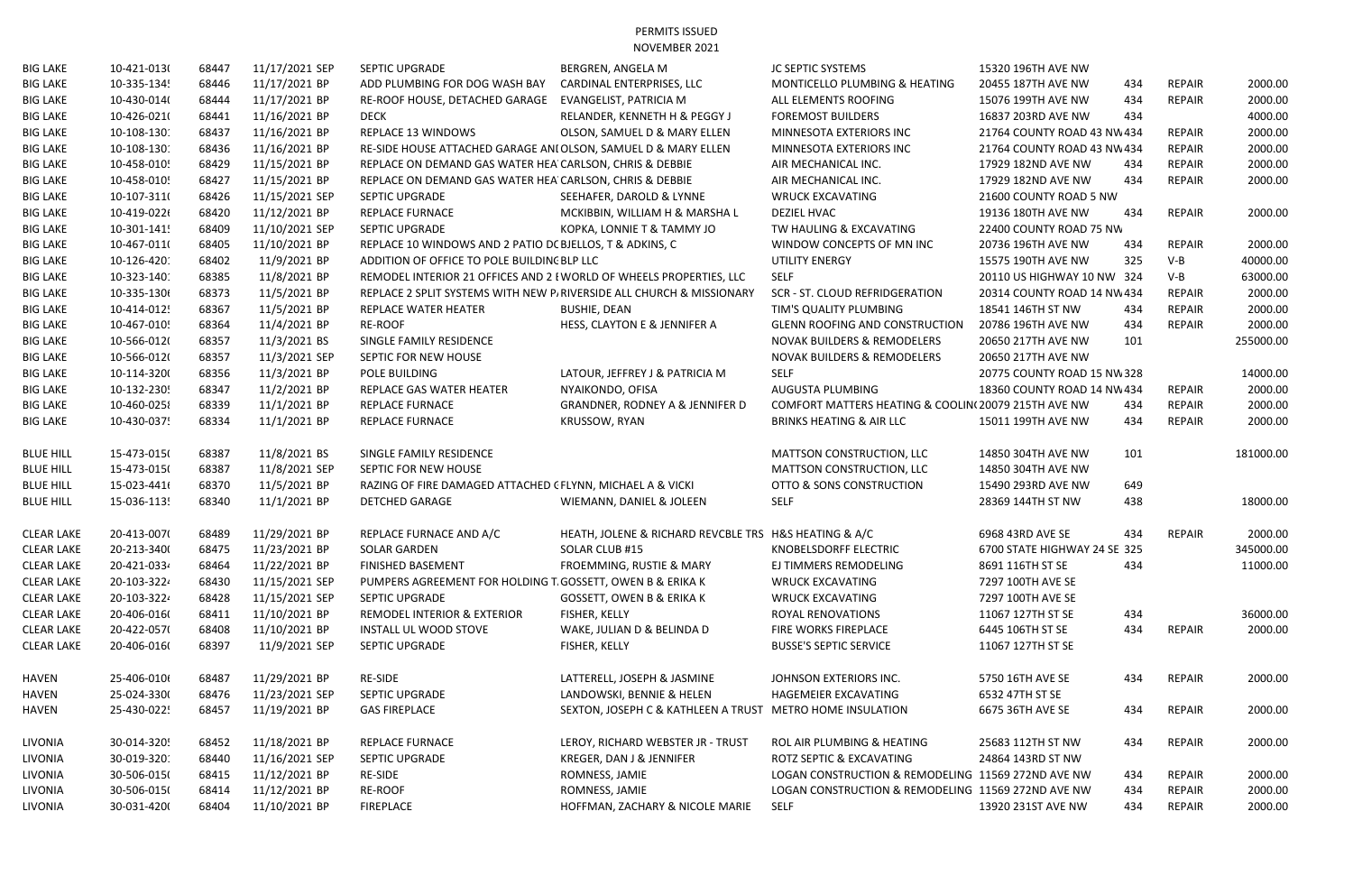PERMITS ISSUED NOVEMBER 2021

| <b>BIG LAKE</b>   | 10-421-013( | 68447 | 11/17/2021 SEP | SEPTIC UPGRADE                                                      | <b>BERGREN, ANGELA M</b>                                             | JC SEPTIC SYSTEMS                                   | 15320 196TH AVE NW           |     |               |           |
|-------------------|-------------|-------|----------------|---------------------------------------------------------------------|----------------------------------------------------------------------|-----------------------------------------------------|------------------------------|-----|---------------|-----------|
| <b>BIG LAKE</b>   | 10-335-1345 | 68446 | 11/17/2021 BP  | ADD PLUMBING FOR DOG WASH BAY                                       | CARDINAL ENTERPRISES, LLC                                            | MONTICELLO PLUMBING & HEATING                       | 20455 187TH AVE NW           | 434 | <b>REPAIR</b> | 2000.00   |
| <b>BIG LAKE</b>   | 10-430-014( | 68444 | 11/17/2021 BP  | RE-ROOF HOUSE, DETACHED GARAGE                                      | EVANGELIST, PATRICIA M                                               | ALL ELEMENTS ROOFING                                | 15076 199TH AVE NW           | 434 | <b>REPAIR</b> | 2000.00   |
| <b>BIG LAKE</b>   | 10-426-021( | 68441 | 11/16/2021 BP  | <b>DECK</b>                                                         | RELANDER, KENNETH H & PEGGY J                                        | <b>FOREMOST BUILDERS</b>                            | 16837 203RD AVE NW           | 434 |               | 4000.00   |
| <b>BIG LAKE</b>   | 10-108-1301 | 68437 | 11/16/2021 BP  | REPLACE 13 WINDOWS                                                  | OLSON, SAMUEL D & MARY ELLEN                                         | MINNESOTA EXTERIORS INC                             | 21764 COUNTY ROAD 43 NW 434  |     | <b>REPAIR</b> | 2000.00   |
| <b>BIG LAKE</b>   | 10-108-1301 | 68436 | 11/16/2021 BP  | RE-SIDE HOUSE ATTACHED GARAGE ANI OLSON, SAMUEL D & MARY ELLEN      |                                                                      | MINNESOTA EXTERIORS INC                             | 21764 COUNTY ROAD 43 NW 434  |     | <b>REPAIR</b> | 2000.00   |
| <b>BIG LAKE</b>   | 10-458-0105 | 68429 | 11/15/2021 BP  | REPLACE ON DEMAND GAS WATER HEA CARLSON, CHRIS & DEBBIE             |                                                                      | AIR MECHANICAL INC.                                 | 17929 182ND AVE NW           | 434 | <b>REPAIR</b> | 2000.00   |
| <b>BIG LAKE</b>   | 10-458-0105 | 68427 | 11/15/2021 BP  | REPLACE ON DEMAND GAS WATER HEA CARLSON, CHRIS & DEBBIE             |                                                                      | AIR MECHANICAL INC.                                 | 17929 182ND AVE NW           | 434 | <b>REPAIR</b> | 2000.00   |
| <b>BIG LAKE</b>   | 10-107-311( | 68426 | 11/15/2021 SEP | SEPTIC UPGRADE                                                      | SEEHAFER, DAROLD & LYNNE                                             | <b>WRUCK EXCAVATING</b>                             | 21600 COUNTY ROAD 5 NW       |     |               |           |
| <b>BIG LAKE</b>   | 10-419-0226 | 68420 | 11/12/2021 BP  | <b>REPLACE FURNACE</b>                                              | MCKIBBIN, WILLIAM H & MARSHA L                                       | <b>DEZIEL HVAC</b>                                  | 19136 180TH AVE NW           | 434 | <b>REPAIR</b> | 2000.00   |
| <b>BIG LAKE</b>   | 10-301-1415 | 68409 | 11/10/2021 SEP | <b>SEPTIC UPGRADE</b>                                               | KOPKA, LONNIE T & TAMMY JO                                           | TW HAULING & EXCAVATING                             | 22400 COUNTY ROAD 75 NW      |     |               |           |
| <b>BIG LAKE</b>   | 10-467-011( | 68405 | 11/10/2021 BP  | REPLACE 10 WINDOWS AND 2 PATIO DC BJELLOS, T & ADKINS, C            |                                                                      | WINDOW CONCEPTS OF MN INC                           | 20736 196TH AVE NW           | 434 | <b>REPAIR</b> | 2000.00   |
| <b>BIG LAKE</b>   | 10-126-4201 | 68402 | 11/9/2021 BP   | ADDITION OF OFFICE TO POLE BUILDING BLP LLC                         |                                                                      | UTILITY ENERGY                                      | 15575 190TH AVE NW           | 325 | $V-B$         | 40000.00  |
| <b>BIG LAKE</b>   | 10-323-1401 | 68385 | 11/8/2021 BP   | REMODEL INTERIOR 21 OFFICES AND 2 I WORLD OF WHEELS PROPERTIES, LLC |                                                                      | <b>SELF</b>                                         | 20110 US HIGHWAY 10 NW 324   |     | $V-B$         | 63000.00  |
| <b>BIG LAKE</b>   | 10-335-1306 | 68373 | 11/5/2021 BP   |                                                                     | REPLACE 2 SPLIT SYSTEMS WITH NEW P/RIVERSIDE ALL CHURCH & MISSIONARY | SCR - ST. CLOUD REFRIDGERATION                      | 20314 COUNTY ROAD 14 NW 434  |     | <b>REPAIR</b> | 2000.00   |
| <b>BIG LAKE</b>   | 10-414-0125 | 68367 | 11/5/2021 BP   | REPLACE WATER HEATER                                                | <b>BUSHIE, DEAN</b>                                                  | TIM'S QUALITY PLUMBING                              | 18541 146TH ST NW            | 434 | REPAIR        | 2000.00   |
| <b>BIG LAKE</b>   | 10-467-0105 | 68364 | 11/4/2021 BP   | <b>RE-ROOF</b>                                                      | HESS, CLAYTON E & JENNIFER A                                         | <b>GLENN ROOFING AND CONSTRUCTION</b>               | 20786 196TH AVE NW           | 434 | <b>REPAIR</b> | 2000.00   |
| <b>BIG LAKE</b>   | 10-566-012( | 68357 | 11/3/2021 BS   | SINGLE FAMILY RESIDENCE                                             |                                                                      | <b>NOVAK BUILDERS &amp; REMODELERS</b>              | 20650 217TH AVE NW           | 101 |               | 255000.00 |
| <b>BIG LAKE</b>   | 10-566-012( | 68357 | 11/3/2021 SEP  | SEPTIC FOR NEW HOUSE                                                |                                                                      | NOVAK BUILDERS & REMODELERS                         | 20650 217TH AVE NW           |     |               |           |
| <b>BIG LAKE</b>   | 10-114-320( | 68356 | 11/3/2021 BP   | POLE BUILDING                                                       | LATOUR, JEFFREY J & PATRICIA M                                       | <b>SELF</b>                                         | 20775 COUNTY ROAD 15 NW 328  |     |               | 14000.00  |
| <b>BIG LAKE</b>   | 10-132-2305 | 68347 | 11/2/2021 BP   | REPLACE GAS WATER HEATER                                            | NYAIKONDO, OFISA                                                     | AUGUSTA PLUMBING                                    | 18360 COUNTY ROAD 14 NW 434  |     | <b>REPAIR</b> | 2000.00   |
| <b>BIG LAKE</b>   | 10-460-0258 | 68339 | 11/1/2021 BP   | <b>REPLACE FURNACE</b>                                              | <b>GRANDNER, RODNEY A &amp; JENNIFER D</b>                           | COMFORT MATTERS HEATING & COOLIN(20079 215TH AVE NW |                              | 434 | <b>REPAIR</b> | 2000.00   |
| <b>BIG LAKE</b>   | 10-430-0375 | 68334 | 11/1/2021 BP   | REPLACE FURNACE                                                     | <b>KRUSSOW, RYAN</b>                                                 | <b>BRINKS HEATING &amp; AIR LLC</b>                 | 15011 199TH AVE NW           | 434 | <b>REPAIR</b> | 2000.00   |
| <b>BLUE HILL</b>  | 15-473-015( | 68387 | 11/8/2021 BS   | SINGLE FAMILY RESIDENCE                                             |                                                                      | <b>MATTSON CONSTRUCTION, LLC</b>                    | 14850 304TH AVE NW           | 101 |               | 181000.00 |
| <b>BLUE HILL</b>  | 15-473-015( | 68387 | 11/8/2021 SEP  | SEPTIC FOR NEW HOUSE                                                |                                                                      | <b>MATTSON CONSTRUCTION, LLC</b>                    | 14850 304TH AVE NW           |     |               |           |
| <b>BLUE HILL</b>  | 15-023-4416 | 68370 | 11/5/2021 BP   | RAZING OF FIRE DAMAGED ATTACHED (FLYNN, MICHAEL A & VICKI           |                                                                      | OTTO & SONS CONSTRUCTION                            | 15490 293RD AVE NW           | 649 |               |           |
| <b>BLUE HILL</b>  | 15-036-1135 | 68340 | 11/1/2021 BP   | <b>DETCHED GARAGE</b>                                               | WIEMANN, DANIEL & JOLEEN                                             | <b>SELF</b>                                         | 28369 144TH ST NW            | 438 |               | 18000.00  |
| <b>CLEAR LAKE</b> | 20-413-007( | 68489 | 11/29/2021 BP  | REPLACE FURNACE AND A/C                                             | HEATH, JOLENE & RICHARD REVCBLE TRS H&S HEATING & A/C                |                                                     | 6968 43RD AVE SE             | 434 | <b>REPAIR</b> | 2000.00   |
| CLEAR LAKE        | 20-213-3400 | 68475 | 11/23/2021 BP  | SOLAR GARDEN                                                        | SOLAR CLUB #15                                                       | KNOBELSDORFF ELECTRIC                               | 6700 STATE HIGHWAY 24 SE 325 |     |               | 345000.00 |
| <b>CLEAR LAKE</b> | 20-421-0334 | 68464 | 11/22/2021 BP  | FINISHED BASEMENT                                                   | FROEMMING, RUSTIE & MARY                                             | EJ TIMMERS REMODELING                               | 8691 116TH ST SE             | 434 |               | 11000.00  |
| <b>CLEAR LAKE</b> | 20-103-3224 | 68430 | 11/15/2021 SEP | PUMPERS AGREEMENT FOR HOLDING T. GOSSETT, OWEN B & ERIKA K          |                                                                      | <b>WRUCK EXCAVATING</b>                             | 7297 100TH AVE SE            |     |               |           |
| <b>CLEAR LAKE</b> | 20-103-3224 | 68428 | 11/15/2021 SEP | <b>SEPTIC UPGRADE</b>                                               | <b>GOSSETT, OWEN B &amp; ERIKA K</b>                                 | <b>WRUCK EXCAVATING</b>                             | 7297 100TH AVE SE            |     |               |           |
| <b>CLEAR LAKE</b> | 20-406-016( | 68411 | 11/10/2021 BP  | REMODEL INTERIOR & EXTERIOR                                         | FISHER, KELLY                                                        | ROYAL RENOVATIONS                                   | 11067 127TH ST SE            | 434 |               | 36000.00  |
| <b>CLEAR LAKE</b> | 20-422-057( | 68408 | 11/10/2021 BP  | INSTALL UL WOOD STOVE                                               | WAKE, JULIAN D & BELINDA D                                           | FIRE WORKS FIREPLACE                                | 6445 106TH ST SE             | 434 | REPAIR        | 2000.00   |
| <b>CLEAR LAKE</b> | 20-406-016( | 68397 | 11/9/2021 SEP  | SEPTIC UPGRADE                                                      | FISHER, KELLY                                                        | <b>BUSSE'S SEPTIC SERVICE</b>                       | 11067 127TH ST SE            |     |               |           |
| HAVEN             | 25-406-0106 | 68487 | 11/29/2021 BP  | RE-SIDE                                                             | LATTERELL, JOSEPH & JASMINE                                          | JOHNSON EXTERIORS INC.                              | 5750 16TH AVE SE             | 434 | REPAIR        | 2000.00   |
| HAVEN             | 25-024-3300 | 68476 | 11/23/2021 SEP | SEPTIC UPGRADE                                                      | LANDOWSKI, BENNIE & HELEN                                            | HAGEMEIER EXCAVATING                                | 6532 47TH ST SE              |     |               |           |
| HAVEN             | 25-430-0225 | 68457 | 11/19/2021 BP  | <b>GAS FIREPLACE</b>                                                | SEXTON, JOSEPH C & KATHLEEN A TRUST METRO HOME INSULATION            |                                                     | 6675 36TH AVE SE             | 434 | REPAIR        | 2000.00   |
| LIVONIA           | 30-014-3205 | 68452 | 11/18/2021 BP  | <b>REPLACE FURNACE</b>                                              | LEROY, RICHARD WEBSTER JR - TRUST                                    | ROL AIR PLUMBING & HEATING                          | 25683 112TH ST NW            | 434 | REPAIR        | 2000.00   |
| LIVONIA           | 30-019-3201 | 68440 | 11/16/2021 SEP | SEPTIC UPGRADE                                                      | KREGER, DAN J & JENNIFER                                             | ROTZ SEPTIC & EXCAVATING                            | 24864 143RD ST NW            |     |               |           |
| LIVONIA           | 30-506-015( | 68415 | 11/12/2021 BP  | <b>RE-SIDE</b>                                                      | ROMNESS, JAMIE                                                       | LOGAN CONSTRUCTION & REMODELING 11569 272ND AVE NW  |                              | 434 | REPAIR        | 2000.00   |
| LIVONIA           | 30-506-015( | 68414 | 11/12/2021 BP  | RE-ROOF                                                             | ROMNESS, JAMIE                                                       | LOGAN CONSTRUCTION & REMODELING 11569 272ND AVE NW  |                              | 434 | <b>REPAIR</b> | 2000.00   |
| LIVONIA           | 30-031-4200 | 68404 | 11/10/2021 BP  | FIREPLACE                                                           | HOFFMAN, ZACHARY & NICOLE MARIE                                      | SELF                                                | 13920 231ST AVE NW           | 434 | REPAIR        | 2000.00   |
|                   |             |       |                |                                                                     |                                                                      |                                                     |                              |     |               |           |